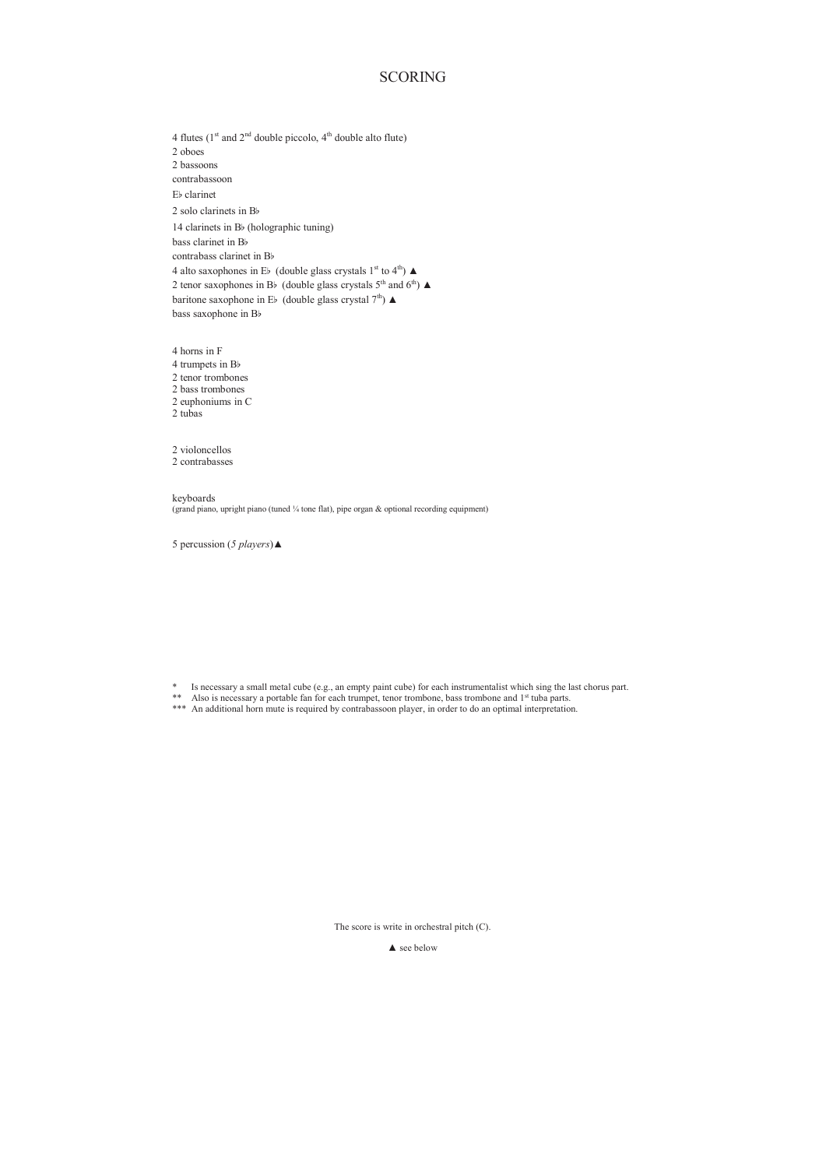## **SCORING**

4 flutes ( $1<sup>st</sup>$  and  $2<sup>nd</sup>$  double piccolo,  $4<sup>th</sup>$  double alto flute) 2 oboes 2 bassoons contrabassoon Eb clarinet 2 solo clarinets in Bb 14 clarinets in Bb (holographic tuning) bass clarinet in Bb contrabass clarinet in Bb 4 alto saxophones in E<sup>b</sup> (double glass crystals 1<sup>st</sup> to 4<sup>th</sup>)  $\blacktriangle$ 2 tenor saxophones in Bb (double glass crystals  $5<sup>th</sup>$  and  $6<sup>th</sup>$ )  $\blacktriangle$ baritone saxophone in Eb (double glass crystal  $7<sup>th</sup>$ )  $\blacktriangle$ bass saxophone in Bb

4 horns in F 4 trumpets in Bb 2 tenor trombones 2 bass trombones 2 euphoniums in C 2 tubas

2 violoncellos 2 contrabasses

keyboards (grand piano, upright piano (tuned ¼ tone flat), pipe organ & optional recording equipment)

5 percussion (*5 players*)▲

<sup>\*</sup> Is necessary a small metal cube (e.g., an empty paint cube) for each instrumentalist which sing the last chorus part.<br><sup>\*\*</sup> Also is necessary a portable fan for each trumpet, tenor trombone, bass trombone and 1<sup>st</sup> tuba

The score is write in orchestral pitch (C).

▲ see below